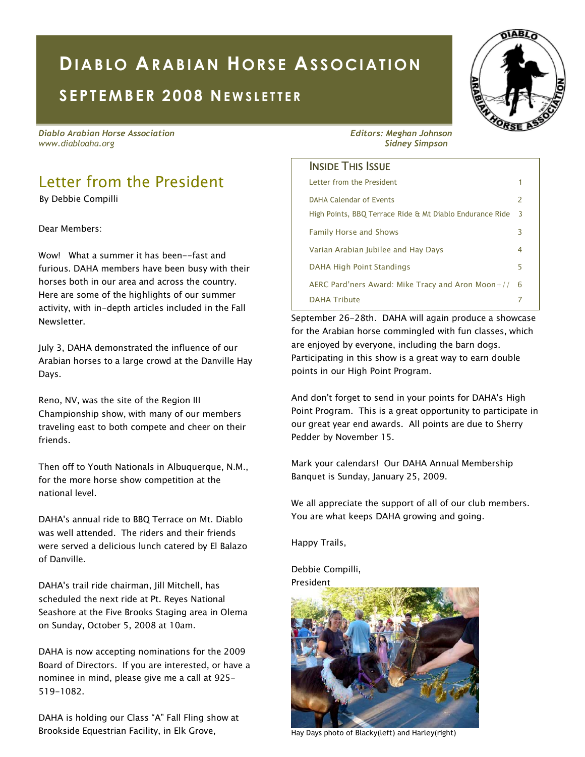# **DIABLO ARABIAN HORSE ASSOCIATION**

## **SEPTEMBER 2008 NEWSLETTER**

*Diablo Arabian Horse Association Editors: Meghan Johnson & www.diabloaha.org Sidney Simpson*

## Letter from the President

By Debbie Compilli

Dear Members:

Wow! What a summer it has been--fast and furious. DAHA members have been busy with their horses both in our area and across the country. Here are some of the highlights of our summer activity, with in-depth articles included in the Fall Newsletter.

July 3, DAHA demonstrated the influence of our Arabian horses to a large crowd at the Danville Hay Days.

Reno, NV, was the site of the Region III Championship show, with many of our members traveling east to both compete and cheer on their friends.

Then off to Youth Nationals in Albuquerque, N.M., for the more horse show competition at the national level.

DAHA's annual ride to BBQ Terrace on Mt. Diablo was well attended. The riders and their friends were served a delicious lunch catered by El Balazo of Danville.

DAHA's trail ride chairman, Jill Mitchell, has scheduled the next ride at Pt. Reyes National Seashore at the Five Brooks Staging area in Olema on Sunday, October 5, 2008 at 10am.

DAHA is now accepting nominations for the 2009 Board of Directors. If you are interested, or have a nominee in mind, please give me a call at 925- 519-1082.

DAHA is holding our Class "A" Fall Fling show at Brookside Equestrian Facility, in Elk Grove,



#### **INSIDE THIS ISSUE**

| Letter from the President                                |   |
|----------------------------------------------------------|---|
| DAHA Calendar of Events                                  | 2 |
| High Points, BBQ Terrace Ride & Mt Diablo Endurance Ride | 3 |
| <b>Family Horse and Shows</b>                            | 3 |
| Varian Arabian Jubilee and Hay Days                      |   |
| DAHA High Point Standings                                | 5 |
| AERC Pard'ners Award: Mike Tracy and Aron Moon+//        | 6 |
| <b>DAHA Tribute</b>                                      |   |

September 26-28th. DAHA will again produce a showcase for the Arabian horse commingled with fun classes, which are enjoyed by everyone, including the barn dogs. Participating in this show is a great way to earn double points in our High Point Program.

And don't forget to send in your points for DAHA's High Point Program. This is a great opportunity to participate in our great year end awards. All points are due to Sherry Pedder by November 15.

Mark your calendars! Our DAHA Annual Membership Banquet is Sunday, January 25, 2009.

We all appreciate the support of all of our club members. You are what keeps DAHA growing and going.

Happy Trails,

Debbie Compilli, President



Hay Days photo of Blacky(left) and Harley(right)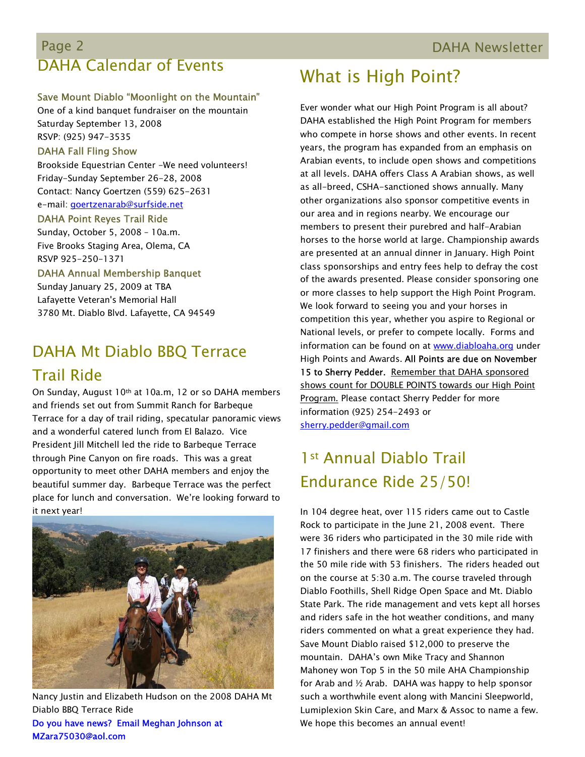## Page 2 DAHA Newsletter DAHA Calendar of Events

#### Save Mount Diablo "Moonlight on the Mountain"

One of a kind banquet fundraiser on the mountain Saturday September 13, 2008 RSVP: (925) 947-3535

#### DAHA Fall Fling Show

Brookside Equestrian Center -We need volunteers! Friday-Sunday September 26-28, 2008 Contact: Nancy Goertzen (559) 625-2631 e-mail: goertzenarab@surfside.net

#### DAHA Point Reyes Trail Ride

Sunday, October 5, 2008 - 10a.m. Five Brooks Staging Area, Olema, CA RSVP 925-250-1371

#### DAHA Annual Membership Banquet

Sunday January 25, 2009 at TBA Lafayette Veteran's Memorial Hall 3780 Mt. Diablo Blvd. Lafayette, CA 94549

# DAHA Mt Diablo BBQ Terrace Trail Ride

On Sunday, August 10th at 10a.m, 12 or so DAHA members and friends set out from Summit Ranch for Barbeque Terrace for a day of trail riding, specatular panoramic views and a wonderful catered lunch from El Balazo. Vice President Jill Mitchell led the ride to Barbeque Terrace through Pine Canyon on fire roads. This was a great opportunity to meet other DAHA members and enjoy the beautiful summer day. Barbeque Terrace was the perfect place for lunch and conversation. We're looking forward to it next year!



Nancy Justin and Elizabeth Hudson on the 2008 DAHA Mt Diablo BBQ Terrace Ride Do you have news? Email Meghan Johnson at MZara75030@aol.com

# What is High Point?

Ever wonder what our High Point Program is all about? DAHA established the High Point Program for members who compete in horse shows and other events. In recent years, the program has expanded from an emphasis on Arabian events, to include open shows and competitions at all levels. DAHA offers Class A Arabian shows, as well as all-breed, CSHA-sanctioned shows annually. Many other organizations also sponsor competitive events in our area and in regions nearby. We encourage our members to present their purebred and half-Arabian horses to the horse world at large. Championship awards are presented at an annual dinner in January. High Point class sponsorships and entry fees help to defray the cost of the awards presented. Please consider sponsoring one or more classes to help support the High Point Program. We look forward to seeing you and your horses in competition this year, whether you aspire to Regional or National levels, or prefer to compete locally. Forms and information can be found on at www.diabloaha.org under High Points and Awards. All Points are due on November 15 to Sherry Pedder. Remember that DAHA sponsored shows count for DOUBLE POINTS towards our High Point Program. Please contact Sherry Pedder for more information (925) 254-2493 or sherry.pedder@gmail.com

# 1st Annual Diablo Trail Endurance Ride 25/50!

In 104 degree heat, over 115 riders came out to Castle Rock to participate in the June 21, 2008 event. There were 36 riders who participated in the 30 mile ride with 17 finishers and there were 68 riders who participated in the 50 mile ride with 53 finishers. The riders headed out on the course at 5:30 a.m. The course traveled through Diablo Foothills, Shell Ridge Open Space and Mt. Diablo State Park. The ride management and vets kept all horses and riders safe in the hot weather conditions, and many riders commented on what a great experience they had. Save Mount Diablo raised \$12,000 to preserve the mountain. DAHA's own Mike Tracy and Shannon Mahoney won Top 5 in the 50 mile AHA Championship for Arab and  $\frac{1}{2}$  Arab. DAHA was happy to help sponsor such a worthwhile event along with Mancini Sleepworld, Lumiplexion Skin Care, and Marx & Assoc to name a few. We hope this becomes an annual event!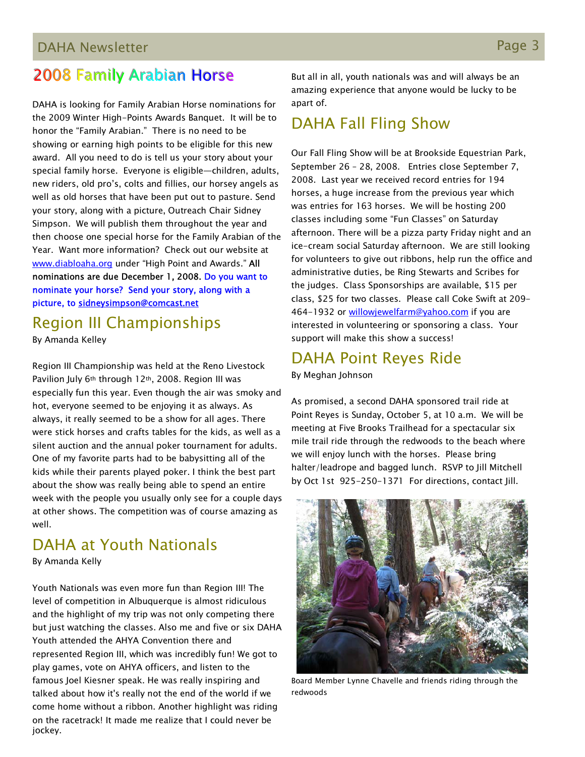## **2008 Family Arabian Horse**

DAHA is looking for Family Arabian Horse nominations for the 2009 Winter High-Points Awards Banquet. It will be to honor the "Family Arabian." There is no need to be showing or earning high points to be eligible for this new award. All you need to do is tell us your story about your special family horse. Everyone is eligible-children, adults, new riders, old pro's, colts and fillies, our horsey angels as well as old horses that have been put out to pasture. Send your story, along with a picture, Outreach Chair Sidney Simpson. We will publish them throughout the year and then choose one special horse for the Family Arabian of the Year. Want more information? Check out our website at www.diabloaha.org under "High Point and Awards." All nominations are due December 1, 2008. Do you want to nominate your horse? Send your story, along with a picture, to sidneysimpson@comcast.net

## Region III Championships

By Amanda Kelley

Region III Championship was held at the Reno Livestock Pavilion July 6<sup>th</sup> through 12<sup>th</sup>, 2008. Region III was especially fun this year. Even though the air was smoky and hot, everyone seemed to be enjoying it as always. As always, it really seemed to be a show for all ages. There were stick horses and crafts tables for the kids, as well as a silent auction and the annual poker tournament for adults. One of my favorite parts had to be babysitting all of the kids while their parents played poker. I think the best part about the show was really being able to spend an entire week with the people you usually only see for a couple days at other shows. The competition was of course amazing as well.

## DAHA at Youth Nationals

By Amanda Kelly

Youth Nationals was even more fun than Region III! The level of competition in Albuquerque is almost ridiculous and the highlight of my trip was not only competing there but just watching the classes. Also me and five or six DAHA Youth attended the AHYA Convention there and represented Region III, which was incredibly fun! We got to play games, vote on AHYA officers, and listen to the famous Joel Kiesner speak. He was really inspiring and talked about how it's really not the end of the world if we come home without a ribbon. Another highlight was riding on the racetrack! It made me realize that I could never be jockey.

But all in all, youth nationals was and will always be an amazing experience that anyone would be lucky to be apart of.

#### DAHA Fall Fling Show

Our Fall Fling Show will be at Brookside Equestrian Park, September 26 - 28, 2008. Entries close September 7, 2008. Last year we received record entries for 194 horses, a huge increase from the previous year which was entries for 163 horses. We will be hosting 200 classes including some "Fun Classes" on Saturday afternoon. There will be a pizza party Friday night and an ice-cream social Saturday afternoon. We are still looking for volunteers to give out ribbons, help run the office and administrative duties, be Ring Stewarts and Scribes for the judges. Class Sponsorships are available, \$15 per class, \$25 for two classes. Please call Coke Swift at 209- 464-1932 or willowjewelfarm@yahoo.com if you are interested in volunteering or sponsoring a class. Your support will make this show a success!

#### DAHA Point Reyes Ride

By Meghan Johnson

As promised, a second DAHA sponsored trail ride at Point Reyes is Sunday, October 5, at 10 a.m. We will be meeting at Five Brooks Trailhead for a spectacular six mile trail ride through the redwoods to the beach where we will enjoy lunch with the horses. Please bring halter/leadrope and bagged lunch. RSVP to Jill Mitchell by Oct 1st 925-250-1371 For directions, contact Jill.



Board Member Lynne Chavelle and friends riding through the redwoods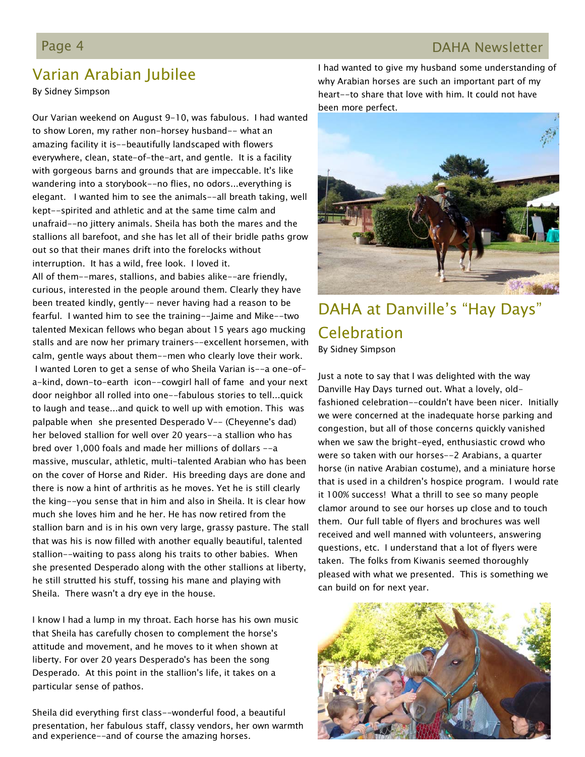#### Page 4 DAHA Newsletter

## Varian Arabian Jubilee

By Sidney Simpson

Our Varian weekend on August 9-10, was fabulous. I had wanted to show Loren, my rather non-horsey husband-- what an amazing facility it is--beautifully landscaped with flowers everywhere, clean, state-of-the-art, and gentle. It is a facility with gorgeous barns and grounds that are impeccable. It's like wandering into a storybook--no flies, no odors...everything is elegant. I wanted him to see the animals--all breath taking, well kept--spirited and athletic and at the same time calm and unafraid--no jittery animals. Sheila has both the mares and the stallions all barefoot, and she has let all of their bridle paths grow out so that their manes drift into the forelocks without interruption. It has a wild, free look. I loved it. All of them--mares, stallions, and babies alike--are friendly, curious, interested in the people around them. Clearly they have been treated kindly, gently-- never having had a reason to be fearful. I wanted him to see the training--Jaime and Mike--two talented Mexican fellows who began about 15 years ago mucking stalls and are now her primary trainers--excellent horsemen, with calm, gentle ways about them--men who clearly love their work. I wanted Loren to get a sense of who Sheila Varian is--a one-ofa-kind, down-to-earth icon--cowgirl hall of fame and your next door neighbor all rolled into one--fabulous stories to tell...quick to laugh and tease...and quick to well up with emotion. This was palpable when she presented Desperado V-- (Cheyenne's dad) her beloved stallion for well over 20 years--a stallion who has bred over 1,000 foals and made her millions of dollars --a massive, muscular, athletic, multi-talented Arabian who has been on the cover of Horse and Rider. His breeding days are done and there is now a hint of arthritis as he moves. Yet he is still clearly the king--you sense that in him and also in Sheila. It is clear how much she loves him and he her. He has now retired from the stallion barn and is in his own very large, grassy pasture. The stall that was his is now filled with another equally beautiful, talented stallion--waiting to pass along his traits to other babies. When she presented Desperado along with the other stallions at liberty, he still strutted his stuff, tossing his mane and playing with Sheila. There wasn't a dry eye in the house.

I know I had a lump in my throat. Each horse has his own music that Sheila has carefully chosen to complement the horse's attitude and movement, and he moves to it when shown at liberty. For over 20 years Desperado's has been the song Desperado. At this point in the stallion's life, it takes on a particular sense of pathos.

Sheila did everything first class--wonderful food, a beautiful presentation, her fabulous staff, classy vendors, her own warmth and experience--and of course the amazing horses.

I had wanted to give my husband some understanding of why Arabian horses are such an important part of my heart--to share that love with him. It could not have been more perfect.



DAHA at Danville's "Hay Days" **Celebration** By Sidney Simpson

Just a note to say that I was delighted with the way Danville Hay Days turned out. What a lovely, oldfashioned celebration--couldn't have been nicer. Initially we were concerned at the inadequate horse parking and congestion, but all of those concerns quickly vanished when we saw the bright-eyed, enthusiastic crowd who were so taken with our horses--2 Arabians, a quarter horse (in native Arabian costume), and a miniature horse that is used in a children's hospice program. I would rate it 100% success! What a thrill to see so many people clamor around to see our horses up close and to touch them. Our full table of flyers and brochures was well received and well manned with volunteers, answering questions, etc. I understand that a lot of flyers were taken. The folks from Kiwanis seemed thoroughly pleased with what we presented. This is something we can build on for next year.

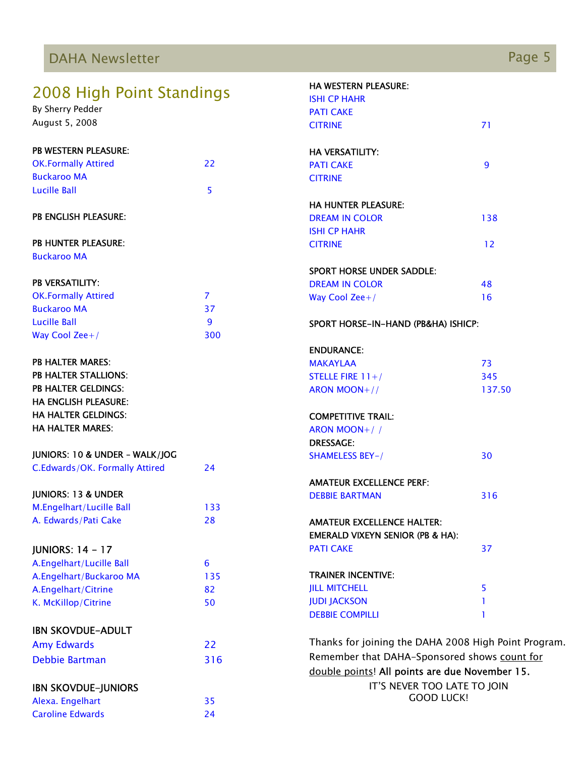# **DAHA Newsletter** Page 5

| 2008 High Point Standings                 |                | <b>HA WESTERN PLEASURE:</b>                          |        |  |
|-------------------------------------------|----------------|------------------------------------------------------|--------|--|
|                                           |                | <b>ISHI CP HAHR</b>                                  |        |  |
| By Sherry Pedder<br>August 5, 2008        |                | <b>PATI CAKE</b>                                     |        |  |
|                                           |                | <b>CITRINE</b>                                       | 71     |  |
| <b>PB WESTERN PLEASURE:</b>               |                | <b>HA VERSATILITY:</b>                               |        |  |
| <b>OK.Formally Attired</b>                | 22             | <b>PATI CAKE</b>                                     | 9      |  |
| <b>Buckaroo MA</b>                        |                | <b>CITRINE</b>                                       |        |  |
| <b>Lucille Ball</b>                       | 5              |                                                      |        |  |
|                                           |                | <b>HA HUNTER PLEASURE:</b>                           |        |  |
| <b>PB ENGLISH PLEASURE:</b>               |                | <b>DREAM IN COLOR</b>                                | 138    |  |
|                                           |                | <b>ISHI CP HAHR</b>                                  |        |  |
| <b>PB HUNTER PLEASURE:</b>                |                | <b>CITRINE</b>                                       | 12     |  |
| <b>Buckaroo MA</b>                        |                |                                                      |        |  |
|                                           |                | <b>SPORT HORSE UNDER SADDLE:</b>                     |        |  |
| PB VERSATILITY:                           |                | <b>DREAM IN COLOR</b>                                | 48     |  |
| <b>OK.Formally Attired</b>                | $\overline{7}$ | Way Cool Zee+/                                       | 16     |  |
| <b>Buckaroo MA</b>                        | 37             |                                                      |        |  |
| <b>Lucille Ball</b>                       | 9              | SPORT HORSE-IN-HAND (PB&HA) ISHICP:                  |        |  |
| Way Cool Zee + $/$                        | 300            |                                                      |        |  |
|                                           |                | <b>ENDURANCE:</b>                                    |        |  |
| <b>PB HALTER MARES:</b>                   |                | <b>MAKAYLAA</b>                                      | 73     |  |
| PB HALTER STALLIONS:                      |                | STELLE FIRE $11+/-$                                  | 345    |  |
| PB HALTER GELDINGS:                       |                | <b>ARON MOON+//</b>                                  | 137.50 |  |
| <b>HA ENGLISH PLEASURE:</b>               |                |                                                      |        |  |
| <b>HA HALTER GELDINGS:</b>                |                | <b>COMPETITIVE TRAIL:</b>                            |        |  |
| <b>HA HALTER MARES:</b>                   |                | ARON MOON+//                                         |        |  |
|                                           |                | <b>DRESSAGE:</b>                                     |        |  |
| <b>JUNIORS: 10 &amp; UNDER - WALK/JOG</b> |                | SHAMELESS BEY-/                                      | 30     |  |
| C.Edwards/OK. Formally Attired            | 24             |                                                      |        |  |
|                                           |                | <b>AMATEUR EXCELLENCE PERF:</b>                      |        |  |
| <b>JUNIORS: 13 &amp; UNDER</b>            |                | <b>DEBBIE BARTMAN</b>                                | 316    |  |
| M.Engelhart/Lucille Ball                  | 133            |                                                      |        |  |
| A. Edwards/Pati Cake                      | 28             | <b>AMATEUR EXCELLENCE HALTER:</b>                    |        |  |
|                                           |                | <b>EMERALD VIXEYN SENIOR (PB &amp; HA):</b>          |        |  |
| <b>JUNIORS: 14 - 17</b>                   |                | <b>PATI CAKE</b>                                     | 37     |  |
| A.Engelhart/Lucille Ball                  | 6              |                                                      |        |  |
| A.Engelhart/Buckaroo MA                   | 135            | <b>TRAINER INCENTIVE:</b>                            |        |  |
| A.Engelhart/Citrine                       | 82             | <b>JILL MITCHELL</b>                                 | 5      |  |
| K. McKillop/Citrine                       | 50             | <b>JUDI JACKSON</b>                                  | 1      |  |
|                                           |                | <b>DEBBIE COMPILLI</b>                               | 1      |  |
| <b>IBN SKOVDUE-ADULT</b>                  |                |                                                      |        |  |
| <b>Amy Edwards</b>                        | 22             | Thanks for joining the DAHA 2008 High Point Program. |        |  |
| Debbie Bartman                            | 316            | Remember that DAHA-Sponsored shows count for         |        |  |
|                                           |                | double points! All points are due November 15.       |        |  |
| <b>IBN SKOVDUE-JUNIORS</b>                |                | IT'S NEVER TOO LATE TO JOIN                          |        |  |
| Alexa. Engelhart                          | 35             | <b>GOOD LUCK!</b>                                    |        |  |
| <b>Caroline Edwards</b>                   | 24             |                                                      |        |  |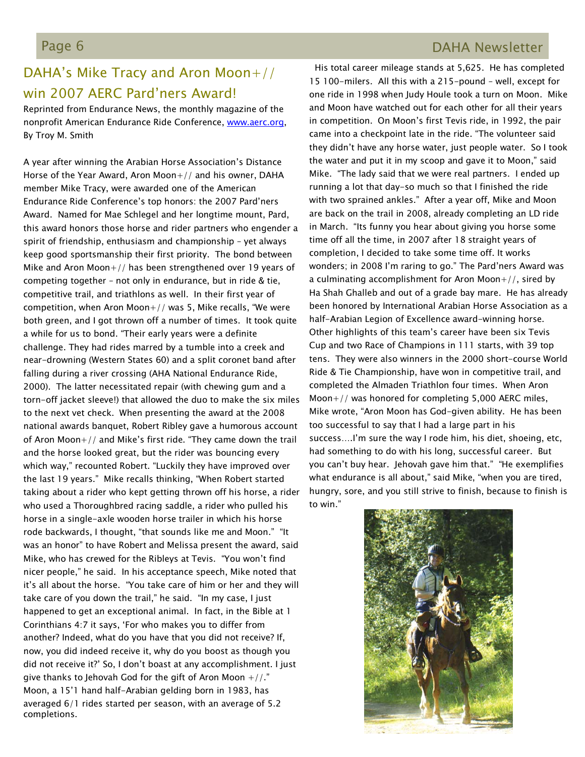#### Page 6 DAHA Newsletter

## DAHA's Mike Tracy and Aron Moon +  $//$ win 2007 AERC Pard'ners Award!

Reprinted from Endurance News, the monthly magazine of the nonprofit American Endurance Ride Conference, www.aerc.org, By Troy M. Smith

A year after winning the Arabian Horse Association's Distance Horse of the Year Award, Aron Moon+// and his owner, DAHA member Mike Tracy, were awarded one of the American Endurance Ride Conference's top honors: the 2007 Pard'ners Award. Named for Mae Schlegel and her longtime mount, Pard, this award honors those horse and rider partners who engender a spirit of friendship, enthusiasm and championship - yet always keep good sportsmanship their first priority. The bond between Mike and Aron Moon+// has been strengthened over 19 years of competing together  $-$  not only in endurance, but in ride & tie, competitive trail, and triathlons as well. In their first year of competition, when Aron Moon $+/$  was 5, Mike recalls, "We were both green, and I got thrown off a number of times. It took quite a while for us to bond. "Their early years were a definite challenge. They had rides marred by a tumble into a creek and near-drowning (Western States 60) and a split coronet band after falling during a river crossing (AHA National Endurance Ride, 2000). The latter necessitated repair (with chewing gum and a torn-off jacket sleeve!) that allowed the duo to make the six miles to the next vet check. When presenting the award at the 2008 national awards banquet, Robert Ribley gave a humorous account of Aron Moon+ $\frac{1}{4}$  and Mike's first ride. "They came down the trail and the horse looked great, but the rider was bouncing every which way," recounted Robert. "Luckily they have improved over the last 19 years." Mike recalls thinking, "When Robert started taking about a rider who kept getting thrown off his horse, a rider who used a Thoroughbred racing saddle, a rider who pulled his horse in a single-axle wooden horse trailer in which his horse rode backwards, I thought, "that sounds like me and Moon." "It was an honor" to have Robert and Melissa present the award, said Mike, who has crewed for the Ribleys at Tevis. "You won't find nicer people," he said. In his acceptance speech, Mike noted that it's all about the horse. "You take care of him or her and they will take care of you down the trail," he said. "In my case, I just happened to get an exceptional animal. In fact, in the Bible at 1 Corinthians 4:7 it says, 'For who makes you to differ from another? Indeed, what do you have that you did not receive? If, now, you did indeed receive it, why do you boost as though you did not receive it?' So, I don't boast at any accomplishment. I just give thanks to Jehovah God for the gift of Aron Moon  $+//$ . Moon, a 15'1 hand half-Arabian gelding born in 1983, has averaged 6/1 rides started per season, with an average of 5.2 completions.

 His total career mileage stands at 5,625. He has completed 15 100-milers. All this with a 215-pound - well, except for one ride in 1998 when Judy Houle took a turn on Moon. Mike and Moon have watched out for each other for all their years in competition. On Moon's first Tevis ride, in 1992, the pair came into a checkpoint late in the ride. "The volunteer said they didn't have any horse water, just people water. So I took the water and put it in my scoop and gave it to Moon," said Mike. "The lady said that we were real partners. I ended up running a lot that day-so much so that I finished the ride with two sprained ankles." After a year off, Mike and Moon are back on the trail in 2008, already completing an LD ride in March. "Its funny you hear about giving you horse some time off all the time, in 2007 after 18 straight years of completion, I decided to take some time off. It works wonders; in 2008 I'm raring to go." The Pard'ners Award was a culminating accomplishment for Aron Moon+//, sired by Ha Shah Ghalleb and out of a grade bay mare. He has already been honored by International Arabian Horse Association as a half-Arabian Legion of Excellence award-winning horse. Other highlights of this team's career have been six Tevis Cup and two Race of Champions in 111 starts, with 39 top tens. They were also winners in the 2000 short-course World Ride & Tie Championship, have won in competitive trail, and completed the Almaden Triathlon four times. When Aron Moon+// was honored for completing 5,000 AERC miles, Mike wrote, "Aron Moon has God-given ability. He has been too successful to say that I had a large part in his success....I'm sure the way I rode him, his diet, shoeing, etc, had something to do with his long, successful career. But you can't buy hear. Jehovah gave him that." "He exemplifies what endurance is all about," said Mike, "when you are tired, hungry, sore, and you still strive to finish, because to finish is to win."

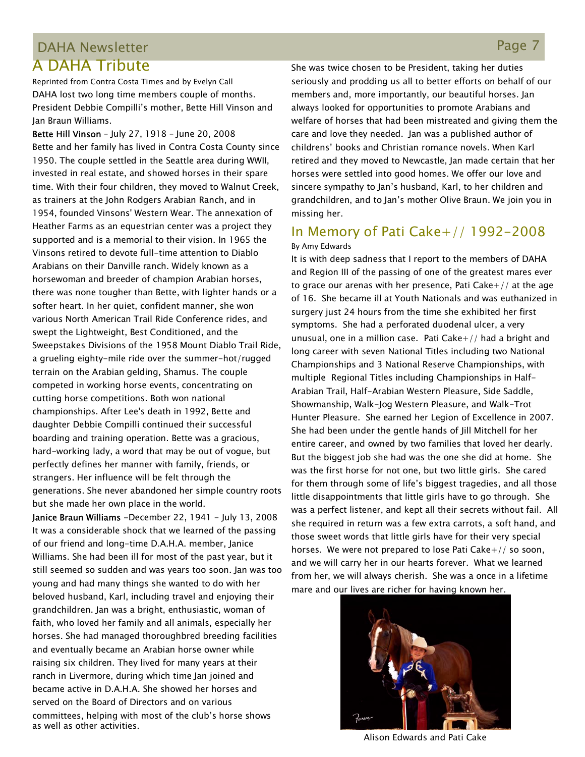## DAHA Newsletter **Page 7** and the page 7 A DAHA Tribute

Reprinted from Contra Costa Times and by Evelyn Call DAHA lost two long time members couple of months. President Debbie Compilli's mother, Bette Hill Vinson and Jan Braun Williams.

**Bette Hill Vinson** - July 27, 1918 - June 20, 2008 Bette and her family has lived in Contra Costa County since 1950. The couple settled in the Seattle area during WWII, invested in real estate, and showed horses in their spare time. With their four children, they moved to Walnut Creek, as trainers at the John Rodgers Arabian Ranch, and in 1954, founded Vinsons' Western Wear. The annexation of Heather Farms as an equestrian center was a project they supported and is a memorial to their vision. In 1965 the Vinsons retired to devote full-time attention to Diablo Arabians on their Danville ranch. Widely known as a horsewoman and breeder of champion Arabian horses, there was none tougher than Bette, with lighter hands or a softer heart. In her quiet, confident manner, she won various North American Trail Ride Conference rides, and swept the Lightweight, Best Conditioned, and the Sweepstakes Divisions of the 1958 Mount Diablo Trail Ride, a grueling eighty-mile ride over the summer-hot/rugged terrain on the Arabian gelding, Shamus. The couple competed in working horse events, concentrating on cutting horse competitions. Both won national championships. After Lee's death in 1992, Bette and daughter Debbie Compilli continued their successful boarding and training operation. Bette was a gracious, hard-working lady, a word that may be out of vogue, but perfectly defines her manner with family, friends, or strangers. Her influence will be felt through the generations. She never abandoned her simple country roots but she made her own place in the world.

Janice Braun Williams -December 22, 1941 - July 13, 2008 It was a considerable shock that we learned of the passing of our friend and long-time D.A.H.A. member, Janice Williams. She had been ill for most of the past year, but it still seemed so sudden and was years too soon. Jan was too young and had many things she wanted to do with her beloved husband, Karl, including travel and enjoying their grandchildren. Jan was a bright, enthusiastic, woman of faith, who loved her family and all animals, especially her horses. She had managed thoroughbred breeding facilities and eventually became an Arabian horse owner while raising six children. They lived for many years at their ranch in Livermore, during which time Jan joined and became active in D.A.H.A. She showed her horses and served on the Board of Directors and on various committees, helping with most of the club's horse shows as well as other activities.

She was twice chosen to be President, taking her duties seriously and prodding us all to better efforts on behalf of our members and, more importantly, our beautiful horses. Jan always looked for opportunities to promote Arabians and welfare of horses that had been mistreated and giving them the care and love they needed. Jan was a published author of childrens' books and Christian romance novels. When Karl retired and they moved to Newcastle, Jan made certain that her horses were settled into good homes. We offer our love and sincere sympathy to Jan's husband, Karl, to her children and grandchildren, and to Jan's mother Olive Braun. We join you in missing her.

#### In Memory of Pati Cake+// 1992-2008

#### By Amy Edwards

It is with deep sadness that I report to the members of DAHA and Region III of the passing of one of the greatest mares ever to grace our arenas with her presence, Pati Cake $+//$  at the age of 16. She became ill at Youth Nationals and was euthanized in surgery just 24 hours from the time she exhibited her first symptoms. She had a perforated duodenal ulcer, a very unusual, one in a million case. Pati  $\text{Cake}+//$  had a bright and long career with seven National Titles including two National Championships and 3 National Reserve Championships, with multiple Regional Titles including Championships in Half-Arabian Trail, Half-Arabian Western Pleasure, Side Saddle, Showmanship, Walk-Jog Western Pleasure, and Walk-Trot Hunter Pleasure. She earned her Legion of Excellence in 2007. She had been under the gentle hands of Jill Mitchell for her entire career, and owned by two families that loved her dearly. But the biggest job she had was the one she did at home. She was the first horse for not one, but two little girls. She cared for them through some of life's biggest tragedies, and all those little disappointments that little girls have to go through. She was a perfect listener, and kept all their secrets without fail. All she required in return was a few extra carrots, a soft hand, and those sweet words that little girls have for their very special horses. We were not prepared to lose Pati Cake+// so soon, and we will carry her in our hearts forever. What we learned from her, we will always cherish. She was a once in a lifetime mare and our lives are richer for having known her.



Alison Edwards and Pati Cake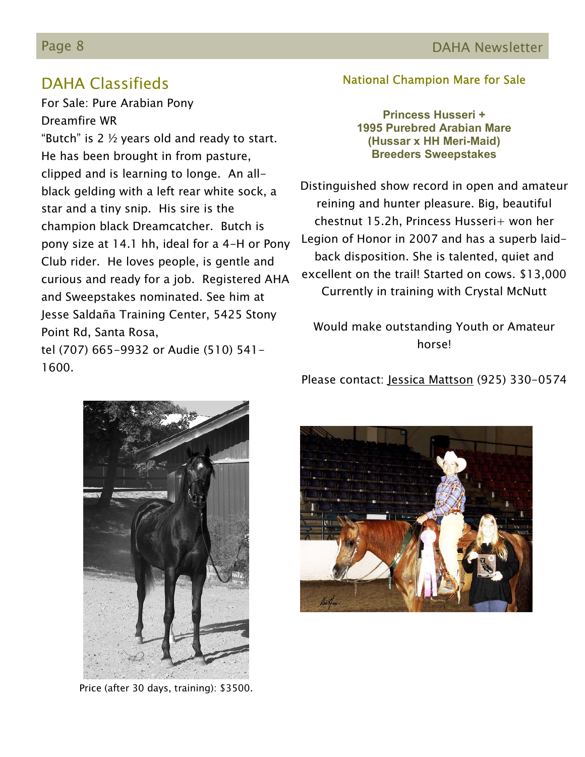#### Page 8 DAHA Newsletter

1600.

#### DAHA Classifieds

For Sale: Pure Arabian Pony Dreamfire WR

"Butch" is 2  $\frac{1}{2}$  years old and ready to start. He has been brought in from pasture, clipped and is learning to longe. An allblack gelding with a left rear white sock, a star and a tiny snip. His sire is the champion black Dreamcatcher. Butch is pony size at 14.1 hh, ideal for a 4-H or Pony Club rider. He loves people, is gentle and curious and ready for a job. Registered AHA and Sweepstakes nominated. See him at Jesse Saldaña Training Center, 5425 Stony Point Rd, Santa Rosa, tel (707) 665-9932 or Audie (510) 541-

#### National Champion Mare for Sale

**Princess Husseri + 1995 Purebred Arabian Mare (Hussar x HH Meri-Maid) Breeders Sweepstakes** 

Distinguished show record in open and amateur reining and hunter pleasure. Big, beautiful chestnut 15.2h, Princess Husseri+ won her Legion of Honor in 2007 and has a superb laidback disposition. She is talented, quiet and excellent on the trail! Started on cows. \$13,000 Currently in training with Crystal McNutt

Would make outstanding Youth or Amateur horse!

Please contact: Jessica Mattson (925) 330-0574



Price (after 30 days, training): \$3500.